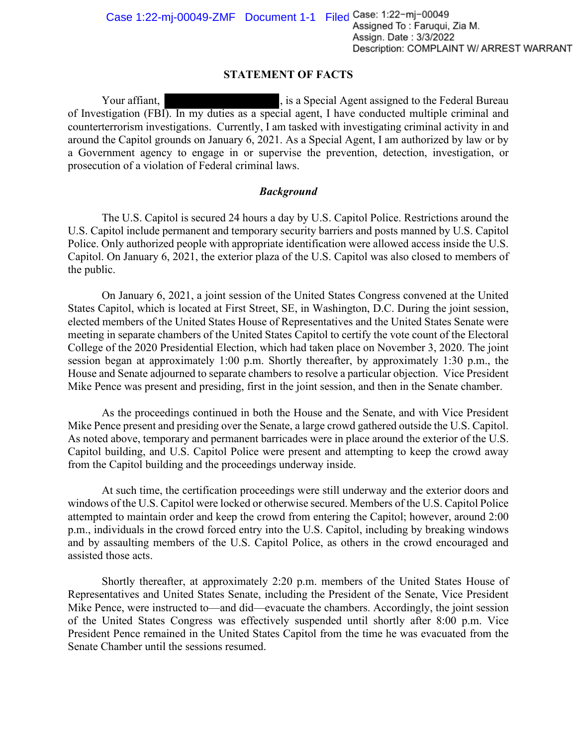## **STATEMENT OF FACTS**

Your affiant,  $\frac{1}{1}$ , is a Special Agent assigned to the Federal Bureau of Investigation (FBI). In my duties as a special agent, I have conducted multiple criminal and counterterrorism investigations. Currently, I am tasked with investigating criminal activity in and around the Capitol grounds on January 6, 2021. As a Special Agent, I am authorized by law or by a Government agency to engage in or supervise the prevention, detection, investigation, or prosecution of a violation of Federal criminal laws.

## *Background*

The U.S. Capitol is secured 24 hours a day by U.S. Capitol Police. Restrictions around the U.S. Capitol include permanent and temporary security barriers and posts manned by U.S. Capitol Police. Only authorized people with appropriate identification were allowed access inside the U.S. Capitol. On January 6, 2021, the exterior plaza of the U.S. Capitol was also closed to members of the public.

On January 6, 2021, a joint session of the United States Congress convened at the United States Capitol, which is located at First Street, SE, in Washington, D.C. During the joint session, elected members of the United States House of Representatives and the United States Senate were meeting in separate chambers of the United States Capitol to certify the vote count of the Electoral College of the 2020 Presidential Election, which had taken place on November 3, 2020. The joint session began at approximately 1:00 p.m. Shortly thereafter, by approximately 1:30 p.m., the House and Senate adjourned to separate chambers to resolve a particular objection. Vice President Mike Pence was present and presiding, first in the joint session, and then in the Senate chamber.

As the proceedings continued in both the House and the Senate, and with Vice President Mike Pence present and presiding over the Senate, a large crowd gathered outside the U.S. Capitol. As noted above, temporary and permanent barricades were in place around the exterior of the U.S. Capitol building, and U.S. Capitol Police were present and attempting to keep the crowd away from the Capitol building and the proceedings underway inside.

At such time, the certification proceedings were still underway and the exterior doors and windows of the U.S. Capitol were locked or otherwise secured. Members of the U.S. Capitol Police attempted to maintain order and keep the crowd from entering the Capitol; however, around 2:00 p.m., individuals in the crowd forced entry into the U.S. Capitol, including by breaking windows and by assaulting members of the U.S. Capitol Police, as others in the crowd encouraged and assisted those acts.

Shortly thereafter, at approximately 2:20 p.m. members of the United States House of Representatives and United States Senate, including the President of the Senate, Vice President Mike Pence, were instructed to—and did—evacuate the chambers. Accordingly, the joint session of the United States Congress was effectively suspended until shortly after 8:00 p.m. Vice President Pence remained in the United States Capitol from the time he was evacuated from the Senate Chamber until the sessions resumed.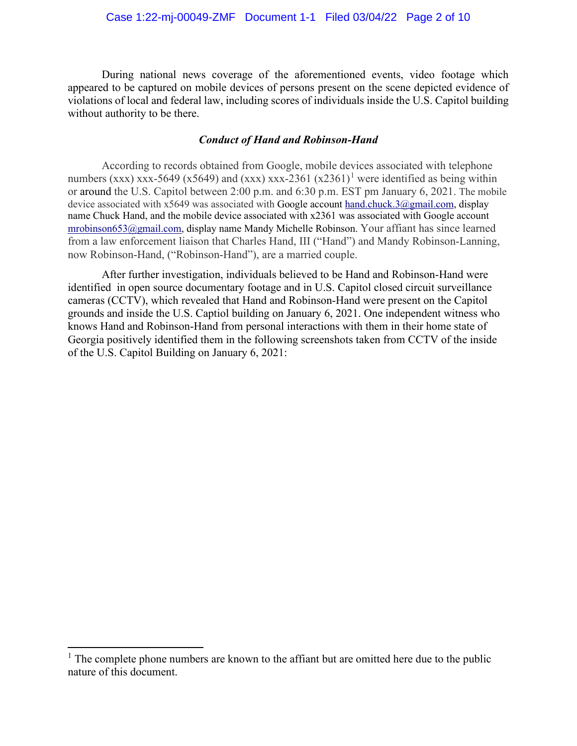During national news coverage of the aforementioned events, video footage which appeared to be captured on mobile devices of persons present on the scene depicted evidence of violations of local and federal law, including scores of individuals inside the U.S. Capitol building without authority to be there.

## *Conduct of Hand and Robinson-Hand*

According to records obtained from Google, mobile devices associated with telephone numbers (xxx) xxx-5649 (x5649) and (xxx) xxx-236[1](#page-1-0) (x2361)<sup>1</sup> were identified as being within or around the U.S. Capitol between 2:00 p.m. and 6:30 p.m. EST pm January 6, 2021. The mobile device associated with x5649 was associated with Google account [hand.chuck.3@gmail.com,](mailto:hand.chuck.3@gmail.com) display name Chuck Hand, and the mobile device associated with x2361 was associated with Google account [mrobinson653@gmail.com,](mailto:mrobinson653@gmail.com) display name Mandy Michelle Robinson. Your affiant has since learned from a law enforcement liaison that Charles Hand, III ("Hand") and Mandy Robinson-Lanning, now Robinson-Hand, ("Robinson-Hand"), are a married couple.

After further investigation, individuals believed to be Hand and Robinson-Hand were identified in open source documentary footage and in U.S. Capitol closed circuit surveillance cameras (CCTV), which revealed that Hand and Robinson-Hand were present on the Capitol grounds and inside the U.S. Captiol building on January 6, 2021. One independent witness who knows Hand and Robinson-Hand from personal interactions with them in their home state of Georgia positively identified them in the following screenshots taken from CCTV of the inside of the U.S. Capitol Building on January 6, 2021:

<span id="page-1-0"></span><sup>&</sup>lt;sup>1</sup> The complete phone numbers are known to the affiant but are omitted here due to the public nature of this document.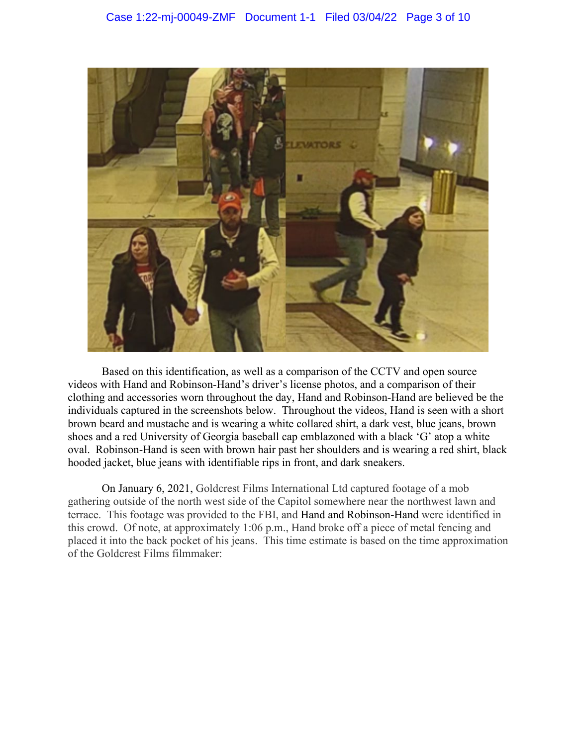

Based on this identification, as well as a comparison of the CCTV and open source videos with Hand and Robinson-Hand's driver's license photos, and a comparison of their clothing and accessories worn throughout the day, Hand and Robinson-Hand are believed be the individuals captured in the screenshots below. Throughout the videos, Hand is seen with a short brown beard and mustache and is wearing a white collared shirt, a dark vest, blue jeans, brown shoes and a red University of Georgia baseball cap emblazoned with a black 'G' atop a white oval. Robinson-Hand is seen with brown hair past her shoulders and is wearing a red shirt, black hooded jacket, blue jeans with identifiable rips in front, and dark sneakers.

On January 6, 2021, Goldcrest Films International Ltd captured footage of a mob gathering outside of the north west side of the Capitol somewhere near the northwest lawn and terrace. This footage was provided to the FBI, and Hand and Robinson-Hand were identified in this crowd. Of note, at approximately 1:06 p.m., Hand broke off a piece of metal fencing and placed it into the back pocket of his jeans. This time estimate is based on the time approximation of the Goldcrest Films filmmaker: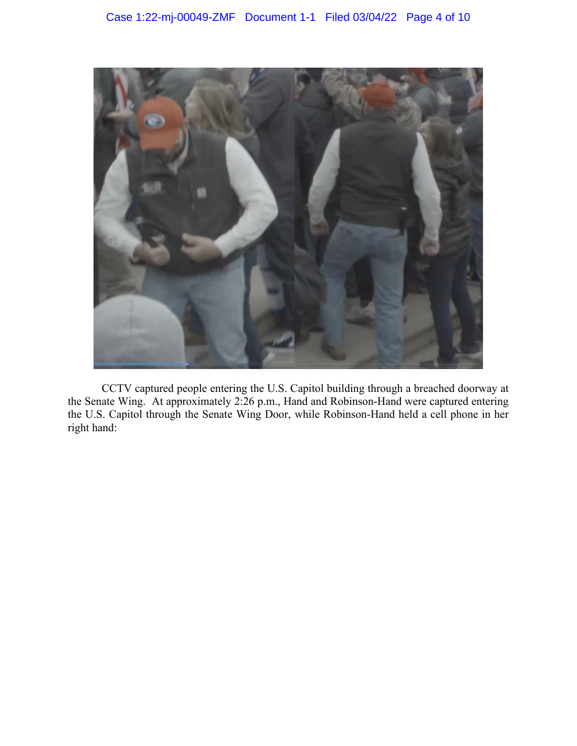

CCTV captured people entering the U.S. Capitol building through a breached doorway at the Senate Wing. At approximately 2:26 p.m., Hand and Robinson-Hand were captured entering the U.S. Capitol through the Senate Wing Door, while Robinson-Hand held a cell phone in her right hand: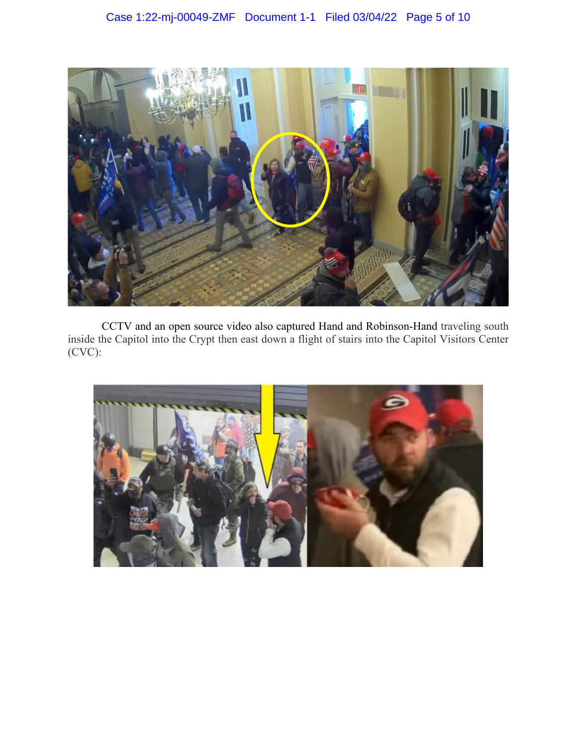

CCTV and an open source video also captured Hand and Robinson-Hand traveling south inside the Capitol into the Crypt then east down a flight of stairs into the Capitol Visitors Center (CVC):

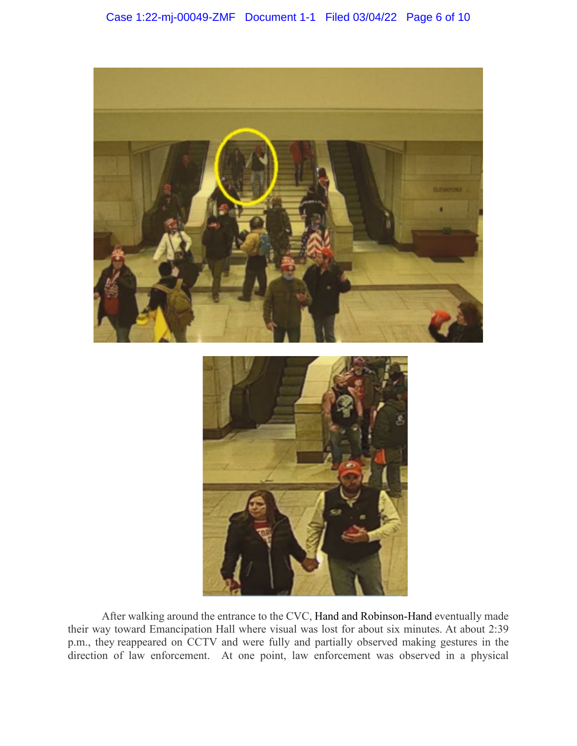

After walking around the entrance to the CVC, Hand and Robinson-Hand eventually made their way toward Emancipation Hall where visual was lost for about six minutes. At about 2:39 p.m., they reappeared on CCTV and were fully and partially observed making gestures in the direction of law enforcement. At one point, law enforcement was observed in a physical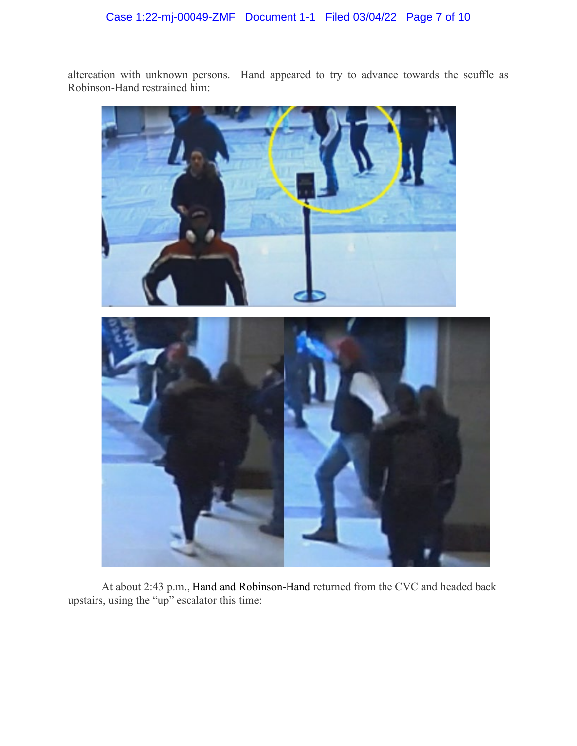altercation with unknown persons. Hand appeared to try to advance towards the scuffle as Robinson-Hand restrained him:



At about 2:43 p.m., Hand and Robinson-Hand returned from the CVC and headed back upstairs, using the "up" escalator this time: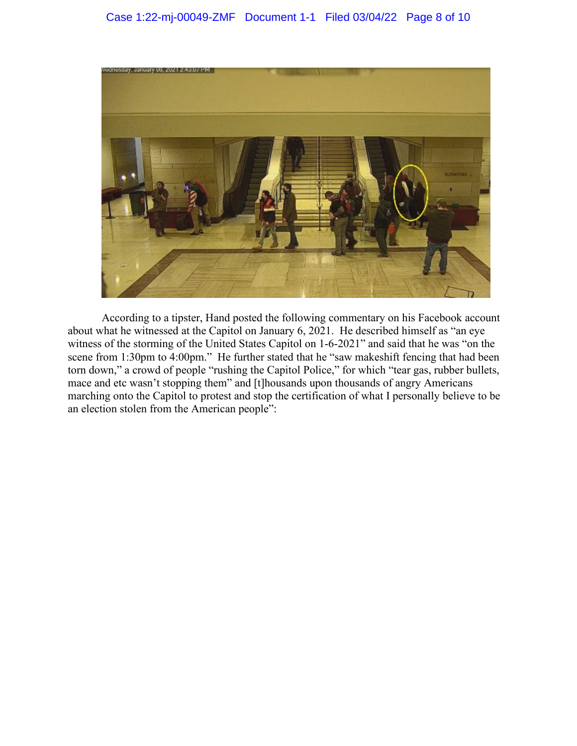

According to a tipster, Hand posted the following commentary on his Facebook account about what he witnessed at the Capitol on January 6, 2021. He described himself as "an eye witness of the storming of the United States Capitol on 1-6-2021" and said that he was "on the scene from 1:30pm to 4:00pm." He further stated that he "saw makeshift fencing that had been torn down," a crowd of people "rushing the Capitol Police," for which "tear gas, rubber bullets, mace and etc wasn't stopping them" and [t]housands upon thousands of angry Americans marching onto the Capitol to protest and stop the certification of what I personally believe to be an election stolen from the American people":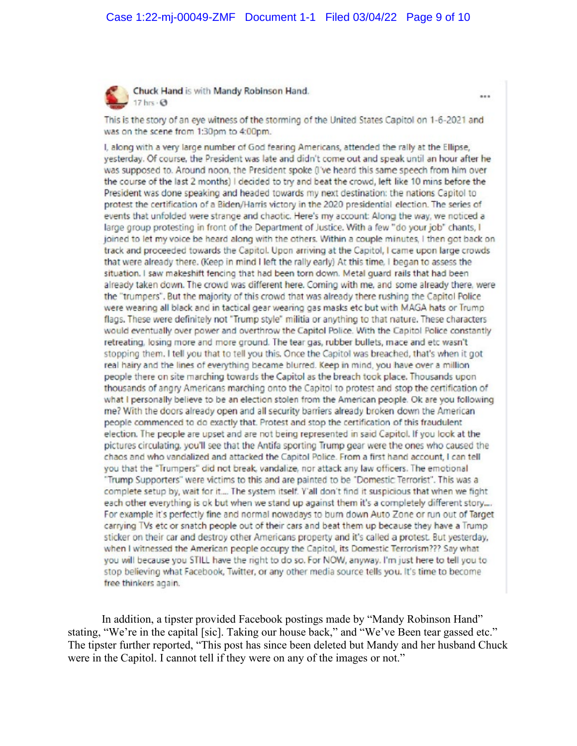

Chuck Hand is with Mandy Robinson Hand. 17 hrs $\cdot$  $\Theta$ 

This is the story of an eye witness of the storming of the United States Capitol on 1-6-2021 and was on the scene from 1:30pm to 4:00pm.

I, along with a very large number of God fearing Americans, attended the rally at the Ellipse, yesterday. Of course, the President was late and didn't come out and speak until an hour after he was supposed to. Around noon, the President spoke (I've heard this same speech from him over the course of the last 2 months) I decided to try and beat the crowd, left like 10 mins before the President was done speaking and headed towards my next destination: the nations Capitol to protest the certification of a Biden/Harris victory in the 2020 presidential election. The series of events that unfolded were strange and chaotic. Here's my account: Along the way, we noticed a large group protesting in front of the Department of Justice. With a few "do your job" chants, I joined to let my voice be heard along with the others. Within a couple minutes, I then got back on track and proceeded towards the Capitol. Upon arriving at the Capitol, I came upon large crowds that were already there. (Keep in mind I left the rally early) At this time, I began to assess the situation. I saw makeshift fencing that had been torn down. Metal guard rails that had been already taken down. The crowd was different here. Coming with me, and some already there, were the "trumpers". But the majority of this crowd that was already there rushing the Capitol Police were wearing all black and in tactical gear wearing gas masks etc but with MAGA hats or Trump flags. These were definitely not "Trump style" militia or anything to that nature. These characters would eventually over power and overthrow the Capitol Police. With the Capitol Police constantly retreating, losing more and more ground. The tear gas, rubber bullets, mace and etc wasn't stopping them. I tell you that to tell you this. Once the Capitol was breached, that's when it got real hairy and the lines of everything became blurred. Keep in mind, you have over a million people there on site marching towards the Capitol as the breach took place. Thousands upon thousands of angry Americans marching onto the Capitol to protest and stop the certification of what I personally believe to be an election stolen from the American people. Ok are you following me? With the doors already open and all security barriers already broken down the American people commenced to do exactly that. Protest and stop the certification of this fraudulent election. The people are upset and are not being represented in said Capitol. If you look at the pictures circulating, you'll see that the Antifa sporting Trump gear were the ones who caused the chaos and who vandalized and attacked the Capitol Police. From a first hand account, I can tell you that the "Trumpers" did not break, vandalize, nor attack any law officers. The emotional "Trump Supporters" were victims to this and are painted to be "Domestic Terrorist". This was a complete setup by, wait for it.... The system itself. Y'all don't find it suspicious that when we fight each other everything is ok but when we stand up against them it's a completely different story.... For example it's perfectly fine and normal nowadays to burn down Auto Zone or run out of Target carrying TVs etc or snatch people out of their cars and beat them up because they have a Trump sticker on their car and destroy other Americans property and it's called a protest. But yesterday, when I witnessed the American people occupy the Capitol, its Domestic Terrorism??? Say what you will because you STILL have the right to do so. For NOW, anyway. I'm just here to tell you to stop believing what Facebook. Twitter, or any other media source tells you. It's time to become free thinkers again.

In addition, a tipster provided Facebook postings made by "Mandy Robinson Hand" stating, "We're in the capital [sic]. Taking our house back," and "We've Been tear gassed etc." The tipster further reported, "This post has since been deleted but Mandy and her husband Chuck were in the Capitol. I cannot tell if they were on any of the images or not."